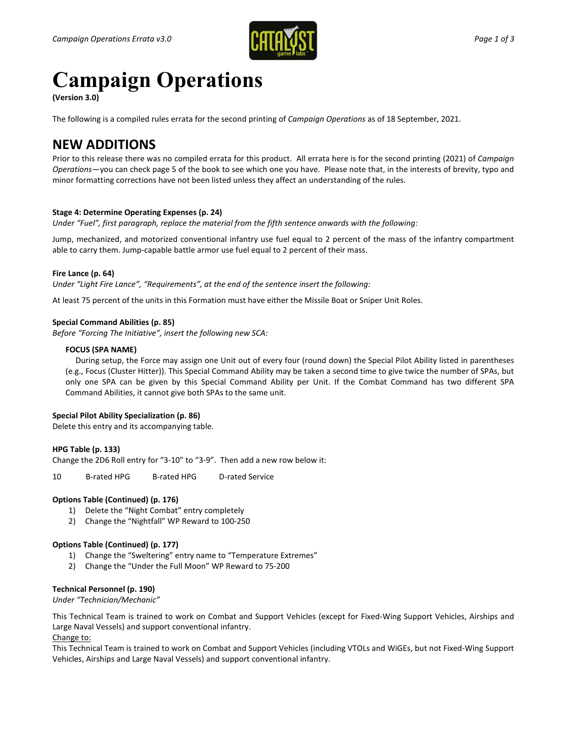

# **Campaign Operations**

**(Version 3.0)** 

The following is a compiled rules errata for the second printing of *Campaign Operations* as of 18 September, 2021.

# **NEW ADDITIONS**

Prior to this release there was no compiled errata for this product. All errata here is for the second printing (2021) of *Campaign Operations*—you can check page 5 of the book to see which one you have. Please note that, in the interests of brevity, typo and minor formatting corrections have not been listed unless they affect an understanding of the rules.

# **Stage 4: Determine Operating Expenses (p. 24)**

*Under "Fuel", first paragraph, replace the material from the fifth sentence onwards with the following:*

Jump, mechanized, and motorized conventional infantry use fuel equal to 2 percent of the mass of the infantry compartment able to carry them. Jump-capable battle armor use fuel equal to 2 percent of their mass.

# **Fire Lance (p. 64)**

*Under "Light Fire Lance", "Requirements", at the end of the sentence insert the following:*

At least 75 percent of the units in this Formation must have either the Missile Boat or Sniper Unit Roles.

# **Special Command Abilities (p. 85)**

*Before "Forcing The Initiative", insert the following new SCA:*

#### **FOCUS (SPA NAME)**

 During setup, the Force may assign one Unit out of every four (round down) the Special Pilot Ability listed in parentheses (e.g., Focus (Cluster Hitter)). This Special Command Ability may be taken a second time to give twice the number of SPAs, but only one SPA can be given by this Special Command Ability per Unit. If the Combat Command has two different SPA Command Abilities, it cannot give both SPAs to the same unit.

# **Special Pilot Ability Specialization (p. 86)**

Delete this entry and its accompanying table.

#### **HPG Table (p. 133)**

Change the 2D6 Roll entry for "3-10" to "3-9". Then add a new row below it:

10 B-rated HPG B-rated HPG D-rated Service

#### **Options Table (Continued) (p. 176)**

- 1) Delete the "Night Combat" entry completely
- 2) Change the "Nightfall" WP Reward to 100-250

#### **Options Table (Continued) (p. 177)**

- 1) Change the "Sweltering" entry name to "Temperature Extremes"
- 2) Change the "Under the Full Moon" WP Reward to 75-200

#### **Technical Personnel (p. 190)**

*Under "Technician/Mechanic"*

This Technical Team is trained to work on Combat and Support Vehicles (except for Fixed-Wing Support Vehicles, Airships and Large Naval Vessels) and support conventional infantry. Change to:

This Technical Team is trained to work on Combat and Support Vehicles (including VTOLs and WiGEs, but not Fixed-Wing Support Vehicles, Airships and Large Naval Vessels) and support conventional infantry.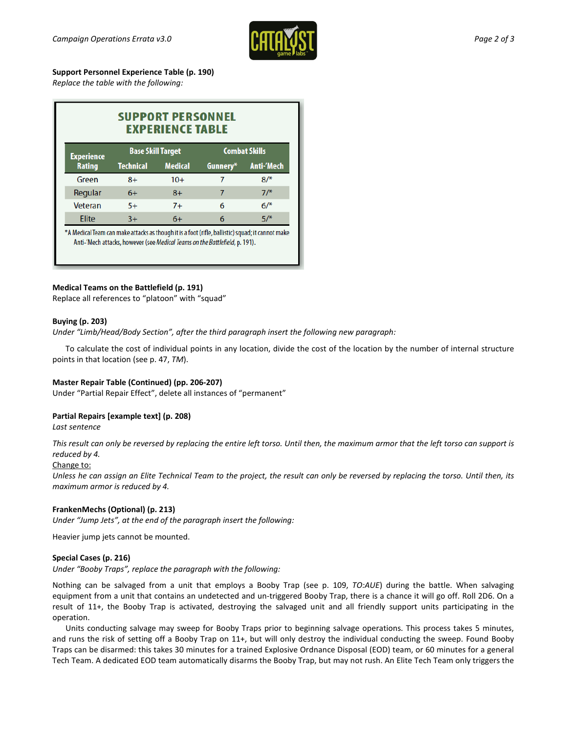

**Support Personnel Experience Table (p. 190)**

*Replace the table with the following:*

| <b>SUPPORT PERSONNEL</b><br><b>EXPERIENCE TABLE</b>                                            |                          |                |                      |                   |
|------------------------------------------------------------------------------------------------|--------------------------|----------------|----------------------|-------------------|
| <b>Experience</b><br><b>Rating</b>                                                             | <b>Base Skill Target</b> |                | <b>Combat Skills</b> |                   |
|                                                                                                | <b>Technical</b>         | <b>Medical</b> | Gunnery*             | <b>Anti-'Mech</b> |
| Green                                                                                          | $8+$                     | $10+$          | 7                    | $8/$ *            |
| Regular                                                                                        | $6+$                     | $8+$           | 7                    | $7/$ *            |
| Veteran                                                                                        | $5+$                     | $7+$           | 6                    | $6/$ *            |
| Elite                                                                                          | $3+$                     | $6+$           | 6                    | $5/$ *            |
| A Modical Toam can make attacks as though it is a foot (rifle hallistic) squad; it cannot make |                          |                |                      |                   |

Anti-'Mech attacks, however (see Medical Teams on the Battlefield, p. 191).

# **Medical Teams on the Battlefield (p. 191)**

Replace all references to "platoon" with "squad"

#### **Buying (p. 203)**

*Under "Limb/Head/Body Section", after the third paragraph insert the following new paragraph:*

To calculate the cost of individual points in any location, divide the cost of the location by the number of internal structure points in that location (see p. 47, *TM*).

#### **Master Repair Table (Continued) (pp. 206-207)**

Under "Partial Repair Effect", delete all instances of "permanent"

# **Partial Repairs [example text] (p. 208)**

*Last sentence*

*This result can only be reversed by replacing the entire left torso. Until then, the maximum armor that the left torso can support is reduced by 4.*

#### Change to:

*Unless he can assign an Elite Technical Team to the project, the result can only be reversed by replacing the torso. Until then, its maximum armor is reduced by 4.*

#### **FrankenMechs (Optional) (p. 213)**

*Under "Jump Jets", at the end of the paragraph insert the following:*

Heavier jump jets cannot be mounted.

#### **Special Cases (p. 216)**

*Under "Booby Traps", replace the paragraph with the following:*

Nothing can be salvaged from a unit that employs a Booby Trap (see p. 109, *TO:AUE*) during the battle. When salvaging equipment from a unit that contains an undetected and un-triggered Booby Trap, there is a chance it will go off. Roll 2D6. On a result of 11+, the Booby Trap is activated, destroying the salvaged unit and all friendly support units participating in the operation.

Units conducting salvage may sweep for Booby Traps prior to beginning salvage operations. This process takes 5 minutes, and runs the risk of setting off a Booby Trap on 11+, but will only destroy the individual conducting the sweep. Found Booby Traps can be disarmed: this takes 30 minutes for a trained Explosive Ordnance Disposal (EOD) team, or 60 minutes for a general Tech Team. A dedicated EOD team automatically disarms the Booby Trap, but may not rush. An Elite Tech Team only triggers the